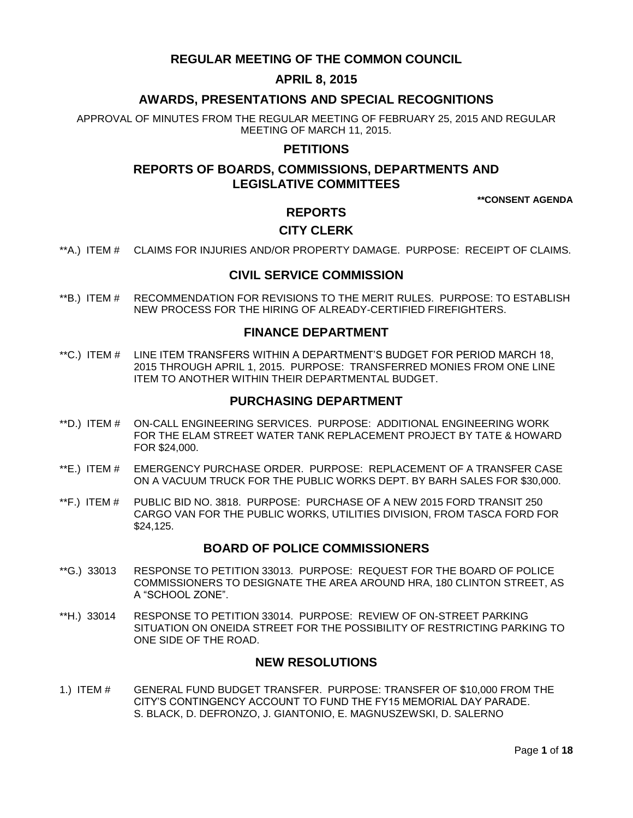# **REGULAR MEETING OF THE COMMON COUNCIL**

# **APRIL 8, 2015**

# **AWARDS, PRESENTATIONS AND SPECIAL RECOGNITIONS**

APPROVAL OF MINUTES FROM THE REGULAR MEETING OF FEBRUARY 25, 2015 AND REGULAR MEETING OF MARCH 11, 2015.

# **PETITIONS**

# **REPORTS OF BOARDS, COMMISSIONS, DEPARTMENTS AND LEGISLATIVE COMMITTEES**

**\*\*CONSENT AGENDA**

# **REPORTS**

# **CITY CLERK**

\*\*A.) ITEM # [CLAIMS FOR INJURIES AND/OR PROPERTY DAMAGE. PURPOSE: RECEIPT OF CLAIMS.](#page-2-0)

## **CIVIL SERVICE COMMISSION**

\*\*B.) ITEM # [RECOMMENDATION FOR REVISIONS TO THE MERIT RULES. PURPOSE: TO ESTABLISH](#page-2-1)  [NEW PROCESS FOR THE HIRING OF ALREADY-CERTIFIED FIREFIGHTERS.](#page-2-1) 

## **FINANCE DEPARTMENT**

\*\*C.) ITEM # [LINE ITEM TRANSFERS WITHIN A DEPARTMENT'S BUDGET FOR PERIOD MARCH 18,](#page-3-0)  [2015 THROUGH APRIL 1, 2015. PURPOSE: TRANSFERRED MONIES FROM ONE LINE](#page-3-0)  [ITEM TO ANOTHER WITHIN THEIR DEPARTMENTAL BUDGET.](#page-3-0)

### **PURCHASING DEPARTMENT**

- \*\*D.) ITEM # [ON-CALL ENGINEERING SERVICES. PURPOSE: ADDITIONAL ENGINEERING WORK](#page-4-0)  [FOR THE ELAM STREET WATER TANK REPLACEMENT PROJECT BY TATE & HOWARD](#page-4-0)  [FOR \\$24,000.](#page-4-0)
- \*\*E.) ITEM # EMERGENCY PURCHASE [ORDER. PURPOSE: REPLACEMENT OF A TRANSFER CASE](#page-4-1)  [ON A VACUUM TRUCK FOR THE PUBLIC WORKS DEPT. BY BARH SALES FOR \\$30,000.](#page-4-1)
- \*\*F.) ITEM # [PUBLIC BID NO. 3818. PURPOSE: PURCHASE OF A NEW 2015 FORD TRANSIT 250](#page-5-0)  [CARGO VAN FOR THE PUBLIC WORKS, UTILITIES DIVISION, FROM TASCA FORD FOR](#page-5-0)  [\\$24,125.](#page-5-0)

### **BOARD OF POLICE COMMISSIONERS**

- \*\*G.) 33013 [RESPONSE TO PETITION 33013. PURPOSE: REQUEST FOR THE BOARD OF POLICE](#page-6-0)  COMMISSIONERS TO DESIGNATE [THE AREA AROUND HRA, 180 CLINTON STREET, AS](#page-6-0)  [A "SCHOOL ZONE".](#page-6-0)
- \*\*H.) 33014 [RESPONSE TO PETITION 33014. PURPOSE: REVIEW OF ON-STREET PARKING](#page-6-1)  [SITUATION ON ONEIDA STREET FOR THE POSSIBILITY OF RESTRICTING PARKING TO](#page-6-1)  [ONE SIDE OF THE ROAD.](#page-6-1)

# **NEW RESOLUTIONS**

1.) ITEM # [GENERAL FUND BUDGET TRANSFER. PURPOSE: TRANSFER OF \\$10,000 FROM THE](#page-6-2)  [CITY'S CONTINGENCY ACCOUNT TO FUND THE FY15 MEMORIAL DAY PARADE.](#page-6-2) [S. BLACK, D. DEFRONZO, J. GIANTONIO, E. MAGNUSZEWSKI, D. SALERNO](#page-6-2)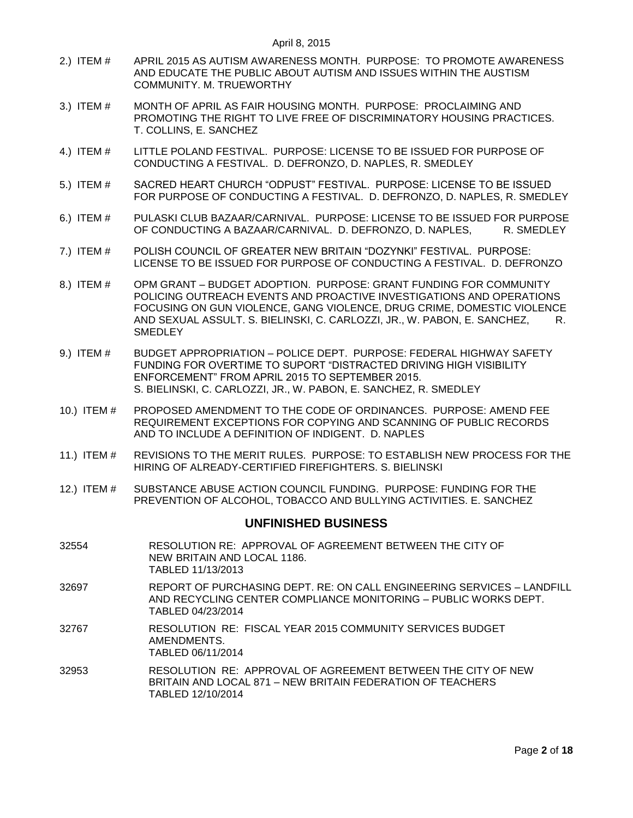- 2.) ITEM # [APRIL 2015 AS AUTISM AWARENESS MONTH. PURPOSE: TO PROMOTE AWARENESS](#page-7-0)  [AND EDUCATE THE PUBLIC ABOUT AUTISM AND ISSUES WITHIN THE AUSTISM](#page-7-0)  COMMUNITY. [M. TRUEWORTHY](#page-7-0)
- 3.) ITEM # [MONTH OF APRIL AS FAIR HOUSING MONTH. PURPOSE: PROCLAIMING AND](#page-8-0)  [PROMOTING THE RIGHT TO LIVE FREE OF DISCRIMINATORY HOUSING PRACTICES.](#page-8-0)  [T. COLLINS, E. SANCHEZ](#page-8-0)
- 4.) ITEM # [LITTLE POLAND FESTIVAL. PURPOSE: LICENSE TO BE ISSUED FOR PURPOSE OF](#page-8-1)  [CONDUCTING A FESTIVAL. D. DEFRONZO, D. NAPLES, R. SMEDLEY](#page-8-1)
- 5.) ITEM # [SACRED HEART CHURCH "ODPUST" FESTIVAL. PURPOSE: LICENSE TO BE ISSUED](#page-9-0)  [FOR PURPOSE OF CONDUCTING A FESTIVAL. D. DEFRONZO, D. NAPLES, R. SMEDLEY](#page-9-0)
- 6.) ITEM # [PULASKI CLUB BAZAAR/CARNIVAL. PURPOSE: LICENSE TO BE ISSUED FOR PURPOSE](#page-9-1)  [OF CONDUCTING A BAZAAR/CARNIVAL. D. DEFRONZO, D. NAPLES, R. SMEDLEY](#page-9-1)
- 7.) ITEM # [POLISH COUNCIL OF GREATER NEW BRITAIN "DOZYNKI" FESTIVAL. PURPOSE:](#page-9-2)  [LICENSE TO BE ISSUED FOR PURPOSE OF CONDUCTING A FESTIVAL. D. DEFRONZO](#page-9-2)
- 8.) ITEM # OPM GRANT [BUDGET ADOPTION. PURPOSE: GRANT FUNDING FOR COMMUNITY](#page-9-3)  [POLICING OUTREACH EVENTS AND PROACTIVE INVESTIGATIONS AND OPERATIONS](#page-9-3)  [FOCUSING ON GUN VIOLENCE, GANG VIOLENCE, DRUG CRIME, DOMESTIC VIOLENCE](#page-9-3)  AND SEXUAL ASSULT. [S. BIELINSKI, C. CARLOZZI, JR., W. PABON, E. SANCHEZ, R.](#page-9-3)  **[SMEDLEY](#page-9-3)**
- 9.) ITEM # BUDGET APPROPRIATION [POLICE DEPT. PURPOSE: FEDERAL HIGHWAY SAFETY](#page-10-0)  [FUNDING FOR OVERTIME TO SUPORT "DISTRACTED DRIVING HIGH VISIBILITY](#page-10-0)  [ENFORCEMENT" FROM APRIL 2015 TO SEPTEMBER 2015.](#page-10-0)  S. BIELINSKI, C. [CARLOZZI, JR., W. PABON, E. SANCHEZ, R. SMEDLEY](#page-10-0)
- 10.) ITEM # [PROPOSED AMENDMENT TO THE CODE OF ORDINANCES. PURPOSE: AMEND FEE](#page-11-0)  [REQUIREMENT EXCEPTIONS FOR COPYING AND SCANNING OF PUBLIC RECORDS](#page-11-0)  [AND TO INCLUDE A DEFINITION OF INDIGENT. D. NAPLES](#page-11-0)
- 11.) ITEM # [REVISIONS TO THE MERIT RULES. PURPOSE: TO ESTABLISH NEW PROCESS FOR THE](#page-16-0)  [HIRING OF ALREADY-CERTIFIED FIREFIGHTERS. S. BIELINSKI](#page-16-0)
- 12.) ITEM # [SUBSTANCE ABUSE ACTION COUNCIL FUNDING. PURPOSE: FUNDING FOR THE](#page-16-1)  [PREVENTION OF ALCOHOL, TOBACCO AND BULLYING ACTIVITIES. E. SANCHEZ](#page-16-1)

# **UNFINISHED BUSINESS**

- 32554 RESOLUTION RE: APPROVAL OF AGREEMENT BETWEEN THE CITY OF NEW BRITAIN AND LOCAL 1186. TABLED 11/13/2013
- 32697 REPORT OF PURCHASING DEPT. RE: ON CALL ENGINEERING SERVICES LANDFILL AND RECYCLING CENTER COMPLIANCE MONITORING – PUBLIC WORKS DEPT. TABLED 04/23/2014
- 32767 RESOLUTION RE: FISCAL YEAR 2015 COMMUNITY SERVICES BUDGET AMENDMENTS. TABLED 06/11/2014
- 32953 RESOLUTION RE: APPROVAL OF AGREEMENT BETWEEN THE CITY OF NEW BRITAIN AND LOCAL 871 – NEW BRITAIN FEDERATION OF TEACHERS TABLED 12/10/2014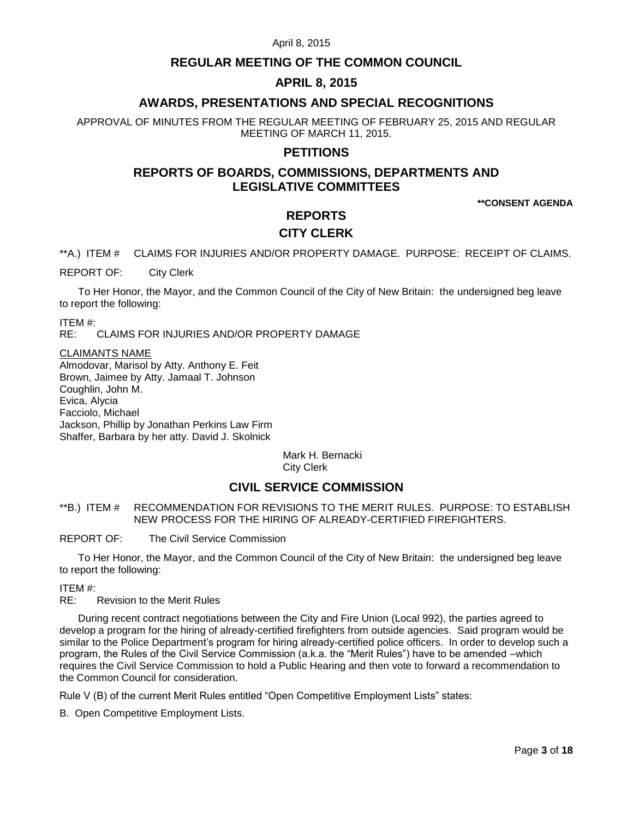# **REGULAR MEETING OF THE COMMON COUNCIL**

# **APRIL 8, 2015**

# **AWARDS, PRESENTATIONS AND SPECIAL RECOGNITIONS**

APPROVAL OF MINUTES FROM THE REGULAR MEETING OF FEBRUARY 25, 2015 AND REGULAR MEETING OF MARCH 11, 2015.

# **PETITIONS**

# **REPORTS OF BOARDS, COMMISSIONS, DEPARTMENTS AND LEGISLATIVE COMMITTEES**

**\*\*CONSENT AGENDA**

# **REPORTS**

# **CITY CLERK**

<span id="page-2-0"></span>\*\*A.) ITEM # CLAIMS FOR INJURIES AND/OR PROPERTY DAMAGE. PURPOSE: RECEIPT OF CLAIMS.

REPORT OF: City Clerk

To Her Honor, the Mayor, and the Common Council of the City of New Britain: the undersigned beg leave to report the following:

ITEM #:

RE: CLAIMS FOR INJURIES AND/OR PROPERTY DAMAGE

#### CLAIMANTS NAME

Almodovar, Marisol by Atty. Anthony E. Feit Brown, Jaimee by Atty. Jamaal T. Johnson Coughlin, John M. Evica, Alycia Facciolo, Michael Jackson, Phillip by Jonathan Perkins Law Firm Shaffer, Barbara by her atty. David J. Skolnick

> Mark H. Bernacki City Clerk

# **CIVIL SERVICE COMMISSION**

<span id="page-2-1"></span>\*\*B.) ITEM # RECOMMENDATION FOR REVISIONS TO THE MERIT RULES. PURPOSE: TO ESTABLISH NEW PROCESS FOR THE HIRING OF ALREADY-CERTIFIED FIREFIGHTERS.

REPORT OF: The Civil Service Commission

To Her Honor, the Mayor, and the Common Council of the City of New Britain: the undersigned beg leave to report the following:

ITEM #:

RE: Revision to the Merit Rules

During recent contract negotiations between the City and Fire Union (Local 992), the parties agreed to develop a program for the hiring of already-certified firefighters from outside agencies. Said program would be similar to the Police Department's program for hiring already-certified police officers. In order to develop such a program, the Rules of the Civil Service Commission (a.k.a. the "Merit Rules") have to be amended –which requires the Civil Service Commission to hold a Public Hearing and then vote to forward a recommendation to the Common Council for consideration.

Rule V (B) of the current Merit Rules entitled "Open Competitive Employment Lists" states:

B. Open Competitive Employment Lists.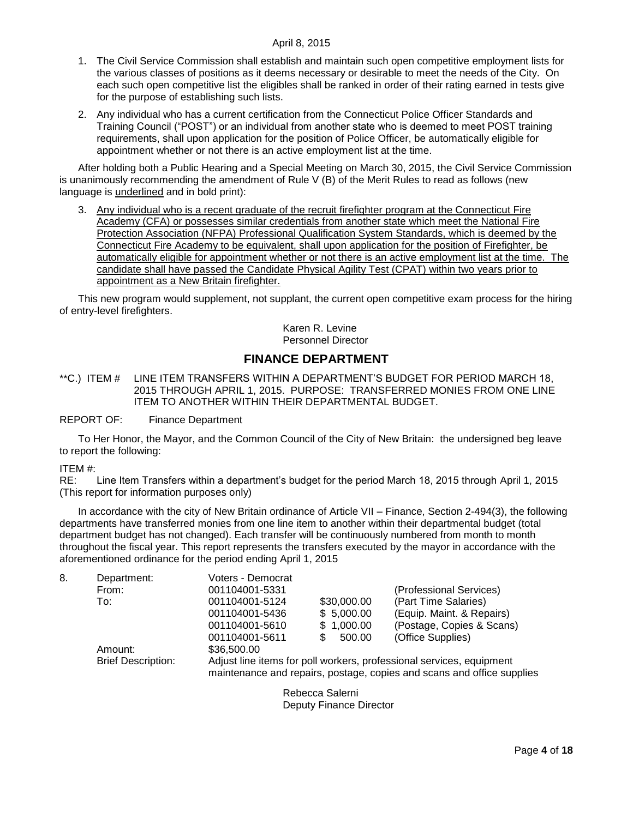- 1. The Civil Service Commission shall establish and maintain such open competitive employment lists for the various classes of positions as it deems necessary or desirable to meet the needs of the City. On each such open competitive list the eligibles shall be ranked in order of their rating earned in tests give for the purpose of establishing such lists.
- 2. Any individual who has a current certification from the Connecticut Police Officer Standards and Training Council ("POST") or an individual from another state who is deemed to meet POST training requirements, shall upon application for the position of Police Officer, be automatically eligible for appointment whether or not there is an active employment list at the time.

After holding both a Public Hearing and a Special Meeting on March 30, 2015, the Civil Service Commission is unanimously recommending the amendment of Rule V (B) of the Merit Rules to read as follows (new language is underlined and in bold print):

3. Any individual who is a recent graduate of the recruit firefighter program at the Connecticut Fire Academy (CFA) or possesses similar credentials from another state which meet the National Fire Protection Association (NFPA) Professional Qualification System Standards, which is deemed by the Connecticut Fire Academy to be equivalent, shall upon application for the position of Firefighter, be automatically eligible for appointment whether or not there is an active employment list at the time. The candidate shall have passed the Candidate Physical Agility Test (CPAT) within two years prior to appointment as a New Britain firefighter.

This new program would supplement, not supplant, the current open competitive exam process for the hiring of entry-level firefighters.

> Karen R. Levine Personnel Director

# **FINANCE DEPARTMENT**

<span id="page-3-0"></span>\*\*C.) ITEM # LINE ITEM TRANSFERS WITHIN A DEPARTMENT'S BUDGET FOR PERIOD MARCH 18, 2015 THROUGH APRIL 1, 2015. PURPOSE: TRANSFERRED MONIES FROM ONE LINE ITEM TO ANOTHER WITHIN THEIR DEPARTMENTAL BUDGET.

### REPORT OF: Finance Department

To Her Honor, the Mayor, and the Common Council of the City of New Britain: the undersigned beg leave to report the following:

### ITEM #:

RE: Line Item Transfers within a department's budget for the period March 18, 2015 through April 1, 2015 (This report for information purposes only)

In accordance with the city of New Britain ordinance of Article VII – Finance, Section 2-494(3), the following departments have transferred monies from one line item to another within their departmental budget (total department budget has not changed). Each transfer will be continuously numbered from month to month throughout the fiscal year. This report represents the transfers executed by the mayor in accordance with the aforementioned ordinance for the period ending April 1, 2015

| 8. | Department:               | Voters - Democrat                                                      |             |                           |
|----|---------------------------|------------------------------------------------------------------------|-------------|---------------------------|
|    | From:                     | 001104001-5331                                                         |             | (Professional Services)   |
|    | To:                       | 001104001-5124                                                         | \$30,000.00 | (Part Time Salaries)      |
|    |                           | 001104001-5436                                                         | \$5,000.00  | (Equip. Maint. & Repairs) |
|    |                           | 001104001-5610                                                         | \$1,000.00  | (Postage, Copies & Scans) |
|    |                           | 001104001-5611                                                         | 500.00      | (Office Supplies)         |
|    | Amount:                   | \$36,500.00                                                            |             |                           |
|    | <b>Brief Description:</b> | Adjust line items for poll workers, professional services, equipment   |             |                           |
|    |                           | maintenance and repairs, postage, copies and scans and office supplies |             |                           |

Rebecca Salerni Deputy Finance Director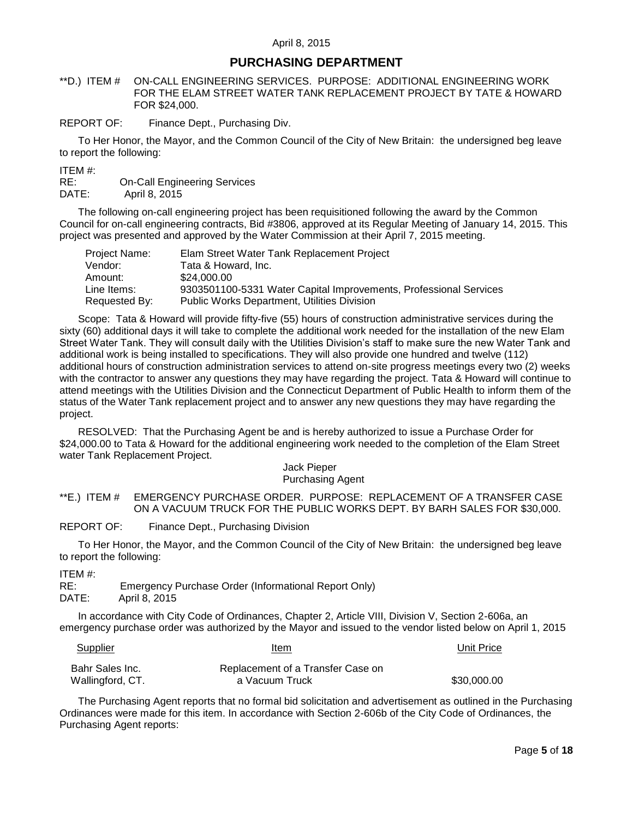# **PURCHASING DEPARTMENT**

<span id="page-4-0"></span>\*\*D.) ITEM # ON-CALL ENGINEERING SERVICES. PURPOSE: ADDITIONAL ENGINEERING WORK FOR THE ELAM STREET WATER TANK REPLACEMENT PROJECT BY TATE & HOWARD FOR \$24,000.

REPORT OF: Finance Dept., Purchasing Div.

To Her Honor, the Mayor, and the Common Council of the City of New Britain: the undersigned beg leave to report the following:

ITEM #:

RE: On-Call Engineering Services DATE: April 8, 2015

The following on-call engineering project has been requisitioned following the award by the Common Council for on-call engineering contracts, Bid #3806, approved at its Regular Meeting of January 14, 2015. This project was presented and approved by the Water Commission at their April 7, 2015 meeting.

| Project Name: | Elam Street Water Tank Replacement Project                        |
|---------------|-------------------------------------------------------------------|
| Vendor:       | Tata & Howard. Inc.                                               |
| Amount:       | \$24,000,00                                                       |
| Line Items:   | 9303501100-5331 Water Capital Improvements, Professional Services |
| Requested By: | <b>Public Works Department, Utilities Division</b>                |

Scope: Tata & Howard will provide fifty-five (55) hours of construction administrative services during the sixty (60) additional days it will take to complete the additional work needed for the installation of the new Elam Street Water Tank. They will consult daily with the Utilities Division's staff to make sure the new Water Tank and additional work is being installed to specifications. They will also provide one hundred and twelve (112) additional hours of construction administration services to attend on-site progress meetings every two (2) weeks with the contractor to answer any questions they may have regarding the project. Tata & Howard will continue to attend meetings with the Utilities Division and the Connecticut Department of Public Health to inform them of the status of the Water Tank replacement project and to answer any new questions they may have regarding the project.

RESOLVED: That the Purchasing Agent be and is hereby authorized to issue a Purchase Order for \$24,000.00 to Tata & Howard for the additional engineering work needed to the completion of the Elam Street water Tank Replacement Project.

> Jack Pieper Purchasing Agent

### <span id="page-4-1"></span>\*\*E.) ITEM # EMERGENCY PURCHASE ORDER. PURPOSE: REPLACEMENT OF A TRANSFER CASE ON A VACUUM TRUCK FOR THE PUBLIC WORKS DEPT. BY BARH SALES FOR \$30,000.

REPORT OF: Finance Dept., Purchasing Division

To Her Honor, the Mayor, and the Common Council of the City of New Britain: the undersigned beg leave to report the following:

ITEM #:

RE: Emergency Purchase Order (Informational Report Only)

DATE: April 8, 2015

In accordance with City Code of Ordinances, Chapter 2, Article VIII, Division V, Section 2-606a, an emergency purchase order was authorized by the Mayor and issued to the vendor listed below on April 1, 2015

#### Supplier Item Unit Price

| Bahr Sales Inc.  | Replacement of a Transfer Case on |             |
|------------------|-----------------------------------|-------------|
| Wallingford, CT. | a Vacuum Truck                    | \$30,000.00 |

The Purchasing Agent reports that no formal bid solicitation and advertisement as outlined in the Purchasing Ordinances were made for this item. In accordance with Section 2-606b of the City Code of Ordinances, the Purchasing Agent reports: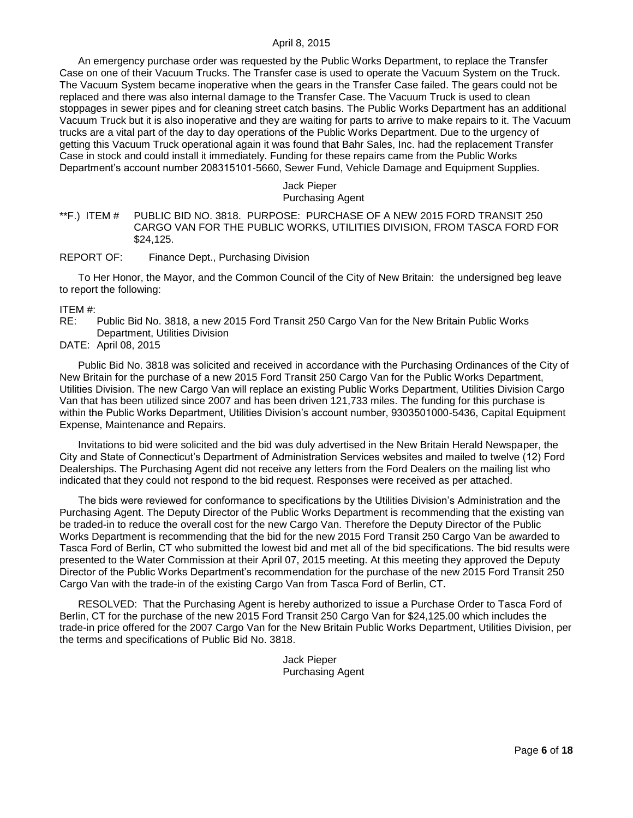An emergency purchase order was requested by the Public Works Department, to replace the Transfer Case on one of their Vacuum Trucks. The Transfer case is used to operate the Vacuum System on the Truck. The Vacuum System became inoperative when the gears in the Transfer Case failed. The gears could not be replaced and there was also internal damage to the Transfer Case. The Vacuum Truck is used to clean stoppages in sewer pipes and for cleaning street catch basins. The Public Works Department has an additional Vacuum Truck but it is also inoperative and they are waiting for parts to arrive to make repairs to it. The Vacuum trucks are a vital part of the day to day operations of the Public Works Department. Due to the urgency of getting this Vacuum Truck operational again it was found that Bahr Sales, Inc. had the replacement Transfer Case in stock and could install it immediately. Funding for these repairs came from the Public Works Department's account number 208315101-5660, Sewer Fund, Vehicle Damage and Equipment Supplies.

#### Jack Pieper Purchasing Agent

### <span id="page-5-0"></span>\*\*F.) ITEM # PUBLIC BID NO. 3818. PURPOSE: PURCHASE OF A NEW 2015 FORD TRANSIT 250 CARGO VAN FOR THE PUBLIC WORKS, UTILITIES DIVISION, FROM TASCA FORD FOR \$24,125.

### REPORT OF: Finance Dept., Purchasing Division

To Her Honor, the Mayor, and the Common Council of the City of New Britain: the undersigned beg leave to report the following:

#### ITEM #:

RE: Public Bid No. 3818, a new 2015 Ford Transit 250 Cargo Van for the New Britain Public Works Department, Utilities Division

DATE: April 08, 2015

Public Bid No. 3818 was solicited and received in accordance with the Purchasing Ordinances of the City of New Britain for the purchase of a new 2015 Ford Transit 250 Cargo Van for the Public Works Department, Utilities Division. The new Cargo Van will replace an existing Public Works Department, Utilities Division Cargo Van that has been utilized since 2007 and has been driven 121,733 miles. The funding for this purchase is within the Public Works Department, Utilities Division's account number, 9303501000-5436, Capital Equipment Expense, Maintenance and Repairs.

Invitations to bid were solicited and the bid was duly advertised in the New Britain Herald Newspaper, the City and State of Connecticut's Department of Administration Services websites and mailed to twelve (12) Ford Dealerships. The Purchasing Agent did not receive any letters from the Ford Dealers on the mailing list who indicated that they could not respond to the bid request. Responses were received as per attached.

The bids were reviewed for conformance to specifications by the Utilities Division's Administration and the Purchasing Agent. The Deputy Director of the Public Works Department is recommending that the existing van be traded-in to reduce the overall cost for the new Cargo Van. Therefore the Deputy Director of the Public Works Department is recommending that the bid for the new 2015 Ford Transit 250 Cargo Van be awarded to Tasca Ford of Berlin, CT who submitted the lowest bid and met all of the bid specifications. The bid results were presented to the Water Commission at their April 07, 2015 meeting. At this meeting they approved the Deputy Director of the Public Works Department's recommendation for the purchase of the new 2015 Ford Transit 250 Cargo Van with the trade-in of the existing Cargo Van from Tasca Ford of Berlin, CT.

RESOLVED: That the Purchasing Agent is hereby authorized to issue a Purchase Order to Tasca Ford of Berlin, CT for the purchase of the new 2015 Ford Transit 250 Cargo Van for \$24,125.00 which includes the trade-in price offered for the 2007 Cargo Van for the New Britain Public Works Department, Utilities Division, per the terms and specifications of Public Bid No. 3818.

> Jack Pieper Purchasing Agent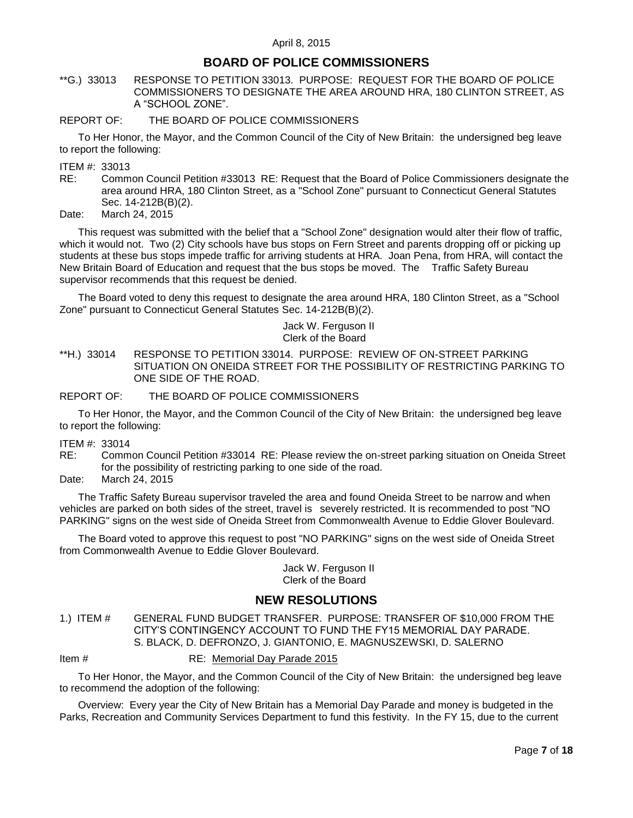# **BOARD OF POLICE COMMISSIONERS**

<span id="page-6-0"></span>\*\*G.) 33013 RESPONSE TO PETITION 33013. PURPOSE: REQUEST FOR THE BOARD OF POLICE COMMISSIONERS TO DESIGNATE THE AREA AROUND HRA, 180 CLINTON STREET, AS A "SCHOOL ZONE".

### REPORT OF: THE BOARD OF POLICE COMMISSIONERS

To Her Honor, the Mayor, and the Common Council of the City of New Britain: the undersigned beg leave to report the following:

ITEM #: 33013

RE: Common Council Petition #33013 RE: Request that the Board of Police Commissioners designate the area around HRA, 180 Clinton Street, as a "School Zone" pursuant to Connecticut General Statutes Sec. 14-212B(B)(2).

Date: March 24, 2015

This request was submitted with the belief that a "School Zone" designation would alter their flow of traffic, which it would not. Two (2) City schools have bus stops on Fern Street and parents dropping off or picking up students at these bus stops impede traffic for arriving students at HRA. Joan Pena, from HRA, will contact the New Britain Board of Education and request that the bus stops be moved. The Traffic Safety Bureau supervisor recommends that this request be denied.

The Board voted to deny this request to designate the area around HRA, 180 Clinton Street, as a "School Zone" pursuant to Connecticut General Statutes Sec. 14-212B(B)(2).

> Jack W. Ferguson II Clerk of the Board

<span id="page-6-1"></span>\*\*H.) 33014 RESPONSE TO PETITION 33014. PURPOSE: REVIEW OF ON-STREET PARKING SITUATION ON ONEIDA STREET FOR THE POSSIBILITY OF RESTRICTING PARKING TO ONE SIDE OF THE ROAD.

REPORT OF: THE BOARD OF POLICE COMMISSIONERS

To Her Honor, the Mayor, and the Common Council of the City of New Britain: the undersigned beg leave to report the following:

- ITEM #: 33014
- RE: Common Council Petition #33014 RE: Please review the on-street parking situation on Oneida Street for the possibility of restricting parking to one side of the road.
- Date: March 24, 2015

The Traffic Safety Bureau supervisor traveled the area and found Oneida Street to be narrow and when vehicles are parked on both sides of the street, travel is severely restricted. It is recommended to post "NO PARKING" signs on the west side of Oneida Street from Commonwealth Avenue to Eddie Glover Boulevard.

The Board voted to approve this request to post "NO PARKING" signs on the west side of Oneida Street from Commonwealth Avenue to Eddie Glover Boulevard.

> Jack W. Ferguson II Clerk of the Board

# **NEW RESOLUTIONS**

<span id="page-6-2"></span>1.) ITEM # GENERAL FUND BUDGET TRANSFER. PURPOSE: TRANSFER OF \$10,000 FROM THE CITY'S CONTINGENCY ACCOUNT TO FUND THE FY15 MEMORIAL DAY PARADE. S. BLACK, D. DEFRONZO, J. GIANTONIO, E. MAGNUSZEWSKI, D. SALERNO

Item # RE: Memorial Day Parade 2015

To Her Honor, the Mayor, and the Common Council of the City of New Britain: the undersigned beg leave to recommend the adoption of the following:

Overview: Every year the City of New Britain has a Memorial Day Parade and money is budgeted in the Parks, Recreation and Community Services Department to fund this festivity. In the FY 15, due to the current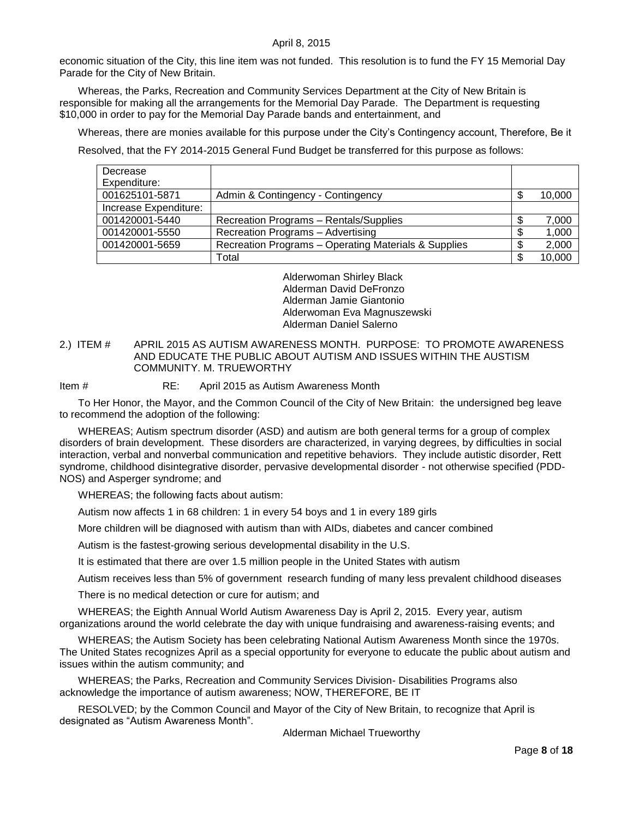economic situation of the City, this line item was not funded. This resolution is to fund the FY 15 Memorial Day Parade for the City of New Britain.

Whereas, the Parks, Recreation and Community Services Department at the City of New Britain is responsible for making all the arrangements for the Memorial Day Parade. The Department is requesting \$10,000 in order to pay for the Memorial Day Parade bands and entertainment, and

Whereas, there are monies available for this purpose under the City's Contingency account, Therefore, Be it

Resolved, that the FY 2014-2015 General Fund Budget be transferred for this purpose as follows:

| Decrease              |                                                      |    |        |
|-----------------------|------------------------------------------------------|----|--------|
| Expenditure:          |                                                      |    |        |
| 001625101-5871        | Admin & Contingency - Contingency                    | S  | 10,000 |
| Increase Expenditure: |                                                      |    |        |
| 001420001-5440        | Recreation Programs - Rentals/Supplies               | \$ | 7,000  |
| 001420001-5550        | Recreation Programs - Advertising                    | S  | 1,000  |
| 001420001-5659        | Recreation Programs - Operating Materials & Supplies |    | 2,000  |
|                       | Total                                                |    | 10,000 |

Alderwoman Shirley Black Alderman David DeFronzo Alderman Jamie Giantonio Alderwoman Eva Magnuszewski Alderman Daniel Salerno

### <span id="page-7-0"></span>2.) ITEM # APRIL 2015 AS AUTISM AWARENESS MONTH. PURPOSE: TO PROMOTE AWARENESS AND EDUCATE THE PUBLIC ABOUT AUTISM AND ISSUES WITHIN THE AUSTISM COMMUNITY. M. TRUEWORTHY

Item # RE: April 2015 as Autism Awareness Month

To Her Honor, the Mayor, and the Common Council of the City of New Britain: the undersigned beg leave to recommend the adoption of the following:

WHEREAS; Autism spectrum disorder (ASD) and autism are both general terms for a group of complex disorders of brain development. These disorders are characterized, in varying degrees, by difficulties in social interaction, verbal and nonverbal communication and repetitive behaviors. They include autistic disorder, Rett syndrome, childhood disintegrative disorder, pervasive developmental disorder - not otherwise specified (PDD-NOS) and Asperger syndrome; and

WHEREAS; the following facts about autism:

Autism now affects 1 in 68 children: 1 in every 54 boys and 1 in every 189 girls

More children will be diagnosed with autism than with AIDs, diabetes and cancer combined

Autism is the fastest-growing serious developmental disability in the U.S.

It is estimated that there are over 1.5 million people in the United States with autism

Autism receives less than 5% of government research funding of many less prevalent childhood diseases

There is no medical detection or cure for autism; and

WHEREAS; the Eighth Annual World Autism Awareness Day is April 2, 2015. Every year, autism organizations around the world celebrate the day with unique fundraising and awareness-raising events; and

WHEREAS; the Autism Society has been celebrating National Autism Awareness Month since the 1970s. The United States recognizes April as a special opportunity for everyone to educate the public about autism and issues within the autism community; and

WHEREAS; the Parks, Recreation and Community Services Division- Disabilities Programs also acknowledge the importance of autism awareness; NOW, THEREFORE, BE IT

RESOLVED; by the Common Council and Mayor of the City of New Britain, to recognize that April is designated as "Autism Awareness Month".

Alderman Michael Trueworthy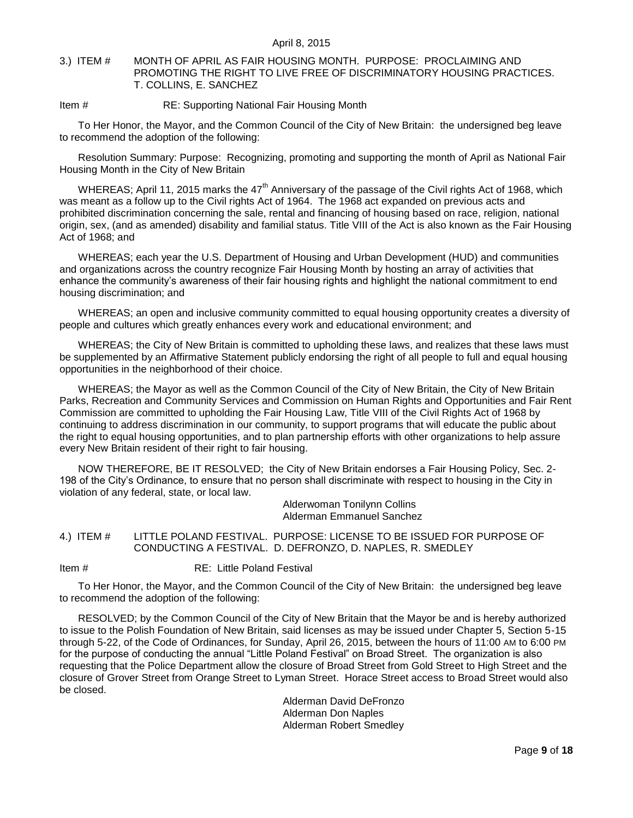### <span id="page-8-0"></span>3.) ITEM # MONTH OF APRIL AS FAIR HOUSING MONTH. PURPOSE: PROCLAIMING AND PROMOTING THE RIGHT TO LIVE FREE OF DISCRIMINATORY HOUSING PRACTICES. T. COLLINS, E. SANCHEZ

### Item # RE: Supporting National Fair Housing Month

To Her Honor, the Mayor, and the Common Council of the City of New Britain: the undersigned beg leave to recommend the adoption of the following:

Resolution Summary: Purpose: Recognizing, promoting and supporting the month of April as National Fair Housing Month in the City of New Britain

WHEREAS; April 11, 2015 marks the 47<sup>th</sup> Anniversary of the passage of the Civil rights Act of 1968, which was meant as a follow up to the Civil rights Act of 1964. The 1968 act expanded on previous acts and prohibited discrimination concerning the sale, rental and financing of housing based on race, religion, national origin, sex, (and as amended) disability and familial status. Title VIII of the Act is also known as the Fair Housing Act of 1968; and

WHEREAS; each year the U.S. Department of Housing and Urban Development (HUD) and communities and organizations across the country recognize Fair Housing Month by hosting an array of activities that enhance the community's awareness of their fair housing rights and highlight the national commitment to end housing discrimination; and

WHEREAS; an open and inclusive community committed to equal housing opportunity creates a diversity of people and cultures which greatly enhances every work and educational environment; and

WHEREAS; the City of New Britain is committed to upholding these laws, and realizes that these laws must be supplemented by an Affirmative Statement publicly endorsing the right of all people to full and equal housing opportunities in the neighborhood of their choice.

WHEREAS; the Mayor as well as the Common Council of the City of New Britain, the City of New Britain Parks, Recreation and Community Services and Commission on Human Rights and Opportunities and Fair Rent Commission are committed to upholding the Fair Housing Law, Title VIII of the Civil Rights Act of 1968 by continuing to address discrimination in our community, to support programs that will educate the public about the right to equal housing opportunities, and to plan partnership efforts with other organizations to help assure every New Britain resident of their right to fair housing.

NOW THEREFORE, BE IT RESOLVED; the City of New Britain endorses a Fair Housing Policy, Sec. 2- 198 of the City's Ordinance, to ensure that no person shall discriminate with respect to housing in the City in violation of any federal, state, or local law.

Alderwoman Tonilynn Collins Alderman Emmanuel Sanchez

<span id="page-8-1"></span>4.) ITEM # LITTLE POLAND FESTIVAL. PURPOSE: LICENSE TO BE ISSUED FOR PURPOSE OF CONDUCTING A FESTIVAL. D. DEFRONZO, D. NAPLES, R. SMEDLEY

Item # RE: Little Poland Festival

To Her Honor, the Mayor, and the Common Council of the City of New Britain: the undersigned beg leave to recommend the adoption of the following:

RESOLVED; by the Common Council of the City of New Britain that the Mayor be and is hereby authorized to issue to the Polish Foundation of New Britain, said licenses as may be issued under Chapter 5, Section 5-15 through 5-22, of the Code of Ordinances, for Sunday, April 26, 2015, between the hours of 11:00 AM to 6:00 PM for the purpose of conducting the annual "Little Poland Festival" on Broad Street. The organization is also requesting that the Police Department allow the closure of Broad Street from Gold Street to High Street and the closure of Grover Street from Orange Street to Lyman Street. Horace Street access to Broad Street would also be closed.

> Alderman David DeFronzo Alderman Don Naples Alderman Robert Smedley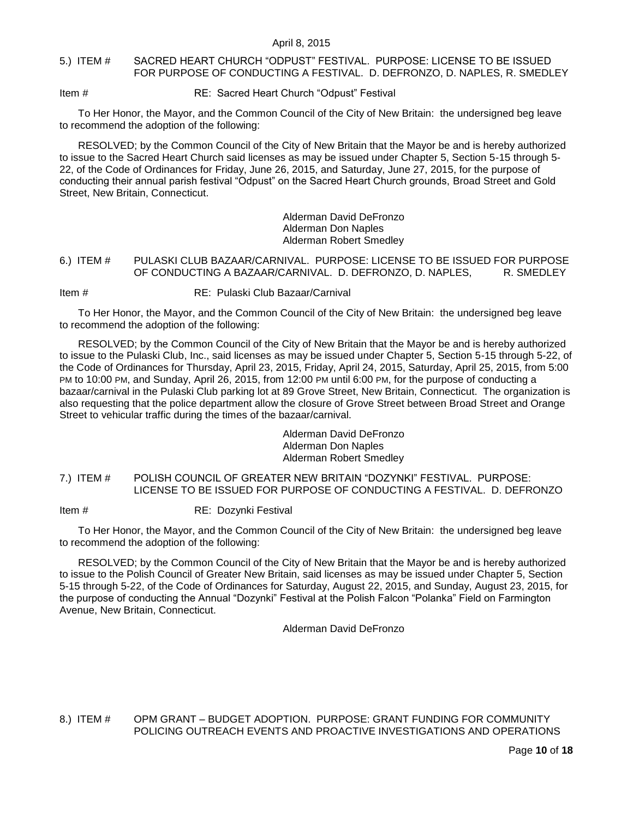### <span id="page-9-0"></span>5.) ITEM # SACRED HEART CHURCH "ODPUST" FESTIVAL. PURPOSE: LICENSE TO BE ISSUED FOR PURPOSE OF CONDUCTING A FESTIVAL. D. DEFRONZO, D. NAPLES, R. SMEDLEY

Item # RE: Sacred Heart Church "Odpust" Festival

To Her Honor, the Mayor, and the Common Council of the City of New Britain: the undersigned beg leave to recommend the adoption of the following:

RESOLVED; by the Common Council of the City of New Britain that the Mayor be and is hereby authorized to issue to the Sacred Heart Church said licenses as may be issued under Chapter 5, Section 5-15 through 5- 22, of the Code of Ordinances for Friday, June 26, 2015, and Saturday, June 27, 2015, for the purpose of conducting their annual parish festival "Odpust" on the Sacred Heart Church grounds, Broad Street and Gold Street, New Britain, Connecticut.

> Alderman David DeFronzo Alderman Don Naples Alderman Robert Smedley

### <span id="page-9-1"></span>6.) ITEM # PULASKI CLUB BAZAAR/CARNIVAL. PURPOSE: LICENSE TO BE ISSUED FOR PURPOSE OF CONDUCTING A BAZAAR/CARNIVAL. D. DEFRONZO, D. NAPLES, R. SMEDLEY

Item # RE: Pulaski Club Bazaar/Carnival

To Her Honor, the Mayor, and the Common Council of the City of New Britain: the undersigned beg leave to recommend the adoption of the following:

RESOLVED; by the Common Council of the City of New Britain that the Mayor be and is hereby authorized to issue to the Pulaski Club, Inc., said licenses as may be issued under Chapter 5, Section 5-15 through 5-22, of the Code of Ordinances for Thursday, April 23, 2015, Friday, April 24, 2015, Saturday, April 25, 2015, from 5:00 PM to 10:00 PM, and Sunday, April 26, 2015, from 12:00 PM until 6:00 PM, for the purpose of conducting a bazaar/carnival in the Pulaski Club parking lot at 89 Grove Street, New Britain, Connecticut. The organization is also requesting that the police department allow the closure of Grove Street between Broad Street and Orange Street to vehicular traffic during the times of the bazaar/carnival.

> Alderman David DeFronzo Alderman Don Naples Alderman Robert Smedley

<span id="page-9-2"></span>7.) ITEM # POLISH COUNCIL OF GREATER NEW BRITAIN "DOZYNKI" FESTIVAL. PURPOSE: LICENSE TO BE ISSUED FOR PURPOSE OF CONDUCTING A FESTIVAL. D. DEFRONZO

Item # RE: Dozynki Festival

To Her Honor, the Mayor, and the Common Council of the City of New Britain: the undersigned beg leave to recommend the adoption of the following:

RESOLVED; by the Common Council of the City of New Britain that the Mayor be and is hereby authorized to issue to the Polish Council of Greater New Britain, said licenses as may be issued under Chapter 5, Section 5-15 through 5-22, of the Code of Ordinances for Saturday, August 22, 2015, and Sunday, August 23, 2015, for the purpose of conducting the Annual "Dozynki" Festival at the Polish Falcon "Polanka" Field on Farmington Avenue, New Britain, Connecticut.

Alderman David DeFronzo

<span id="page-9-3"></span>8.) ITEM # OPM GRANT – BUDGET ADOPTION. PURPOSE: GRANT FUNDING FOR COMMUNITY POLICING OUTREACH EVENTS AND PROACTIVE INVESTIGATIONS AND OPERATIONS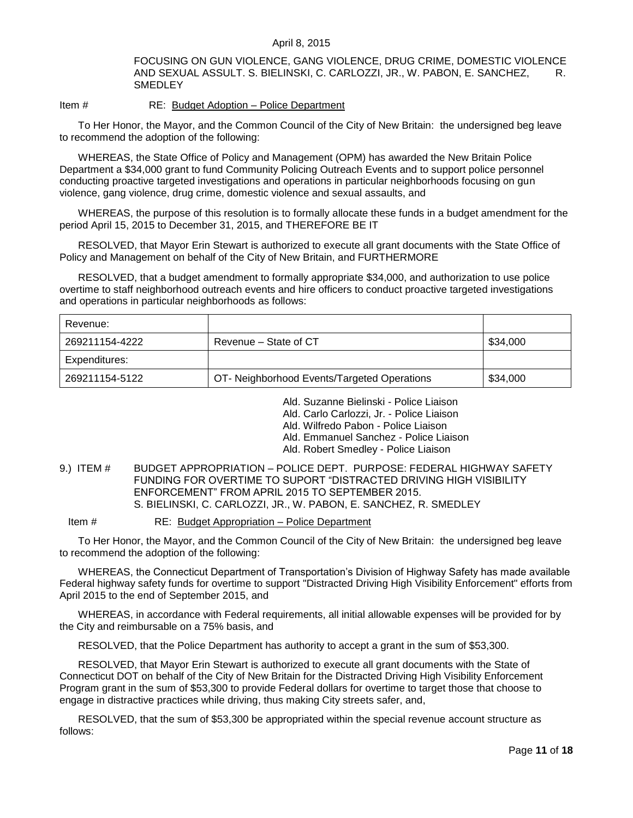FOCUSING ON GUN VIOLENCE, GANG VIOLENCE, DRUG CRIME, DOMESTIC VIOLENCE AND SEXUAL ASSULT. S. BIELINSKI, C. CARLOZZI, JR., W. PABON, E. SANCHEZ, R. **SMEDLEY** 

### Item # RE: Budget Adoption – Police Department

To Her Honor, the Mayor, and the Common Council of the City of New Britain: the undersigned beg leave to recommend the adoption of the following:

WHEREAS, the State Office of Policy and Management (OPM) has awarded the New Britain Police Department a \$34,000 grant to fund Community Policing Outreach Events and to support police personnel conducting proactive targeted investigations and operations in particular neighborhoods focusing on gun violence, gang violence, drug crime, domestic violence and sexual assaults, and

WHEREAS, the purpose of this resolution is to formally allocate these funds in a budget amendment for the period April 15, 2015 to December 31, 2015, and THEREFORE BE IT

RESOLVED, that Mayor Erin Stewart is authorized to execute all grant documents with the State Office of Policy and Management on behalf of the City of New Britain, and FURTHERMORE

RESOLVED, that a budget amendment to formally appropriate \$34,000, and authorization to use police overtime to staff neighborhood outreach events and hire officers to conduct proactive targeted investigations and operations in particular neighborhoods as follows:

| Revenue:       |                                             |          |
|----------------|---------------------------------------------|----------|
| 269211154-4222 | Revenue – State of CT                       | \$34,000 |
| Expenditures:  |                                             |          |
| 269211154-5122 | OT- Neighborhood Events/Targeted Operations | \$34,000 |

Ald. Suzanne Bielinski - Police Liaison

Ald. Carlo Carlozzi, Jr. - Police Liaison

Ald. Wilfredo Pabon - Police Liaison

Ald. Emmanuel Sanchez - Police Liaison

Ald. Robert Smedley - Police Liaison

### <span id="page-10-0"></span>9.) ITEM # BUDGET APPROPRIATION – POLICE DEPT. PURPOSE: FEDERAL HIGHWAY SAFETY FUNDING FOR OVERTIME TO SUPORT "DISTRACTED DRIVING HIGH VISIBILITY ENFORCEMENT" FROM APRIL 2015 TO SEPTEMBER 2015. S. BIELINSKI, C. CARLOZZI, JR., W. PABON, E. SANCHEZ, R. SMEDLEY

Item # RE: Budget Appropriation – Police Department

To Her Honor, the Mayor, and the Common Council of the City of New Britain: the undersigned beg leave to recommend the adoption of the following:

WHEREAS, the Connecticut Department of Transportation's Division of Highway Safety has made available Federal highway safety funds for overtime to support "Distracted Driving High Visibility Enforcement" efforts from April 2015 to the end of September 2015, and

WHEREAS, in accordance with Federal requirements, all initial allowable expenses will be provided for by the City and reimbursable on a 75% basis, and

RESOLVED, that the Police Department has authority to accept a grant in the sum of \$53,300.

RESOLVED, that Mayor Erin Stewart is authorized to execute all grant documents with the State of Connecticut DOT on behalf of the City of New Britain for the Distracted Driving High Visibility Enforcement Program grant in the sum of \$53,300 to provide Federal dollars for overtime to target those that choose to engage in distractive practices while driving, thus making City streets safer, and,

RESOLVED, that the sum of \$53,300 be appropriated within the special revenue account structure as follows: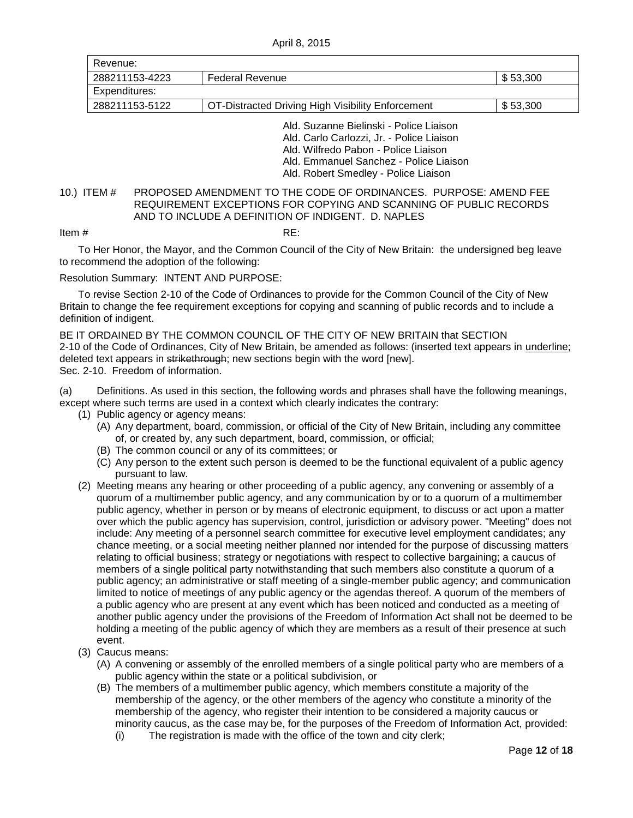April 8, 2015

| Revenue:       |                                                                                                                              |          |
|----------------|------------------------------------------------------------------------------------------------------------------------------|----------|
| 288211153-4223 | <b>Federal Revenue</b>                                                                                                       | \$53,300 |
| Expenditures:  |                                                                                                                              |          |
| 288211153-5122 | OT-Distracted Driving High Visibility Enforcement                                                                            | \$53,300 |
|                | Ald, Suzanne Bielinski - Police Liaison<br>Ald. Carlo Carlozzi, Jr. - Police Liaison<br>Ald. Wilfredo Pabon - Police Liaison |          |

Ald. Emmanuel Sanchez - Police Liaison

Ald. Robert Smedley - Police Liaison

## <span id="page-11-0"></span>10.) ITEM # PROPOSED AMENDMENT TO THE CODE OF ORDINANCES. PURPOSE: AMEND FEE REQUIREMENT EXCEPTIONS FOR COPYING AND SCANNING OF PUBLIC RECORDS AND TO INCLUDE A DEFINITION OF INDIGENT. D. NAPLES

#### Item  $\#$  RE:

To Her Honor, the Mayor, and the Common Council of the City of New Britain: the undersigned beg leave to recommend the adoption of the following:

### Resolution Summary: INTENT AND PURPOSE:

To revise Section 2-10 of the Code of Ordinances to provide for the Common Council of the City of New Britain to change the fee requirement exceptions for copying and scanning of public records and to include a definition of indigent.

BE IT ORDAINED BY THE COMMON COUNCIL OF THE CITY OF NEW BRITAIN that SECTION 2-10 of the Code of Ordinances, City of New Britain, be amended as follows: (inserted text appears in underline; deleted text appears in strikethrough; new sections begin with the word [new]. Sec. 2-10. Freedom of information.

(a) Definitions. As used in this section, the following words and phrases shall have the following meanings, except where such terms are used in a context which clearly indicates the contrary:

- (1) Public agency or agency means:
	- (A) Any department, board, commission, or official of the City of New Britain, including any committee of, or created by, any such department, board, commission, or official;
	- (B) The common council or any of its committees; or
	- (C) Any person to the extent such person is deemed to be the functional equivalent of a public agency pursuant to law.
- (2) Meeting means any hearing or other proceeding of a public agency, any convening or assembly of a quorum of a multimember public agency, and any communication by or to a quorum of a multimember public agency, whether in person or by means of electronic equipment, to discuss or act upon a matter over which the public agency has supervision, control, jurisdiction or advisory power. "Meeting" does not include: Any meeting of a personnel search committee for executive level employment candidates; any chance meeting, or a social meeting neither planned nor intended for the purpose of discussing matters relating to official business; strategy or negotiations with respect to collective bargaining; a caucus of members of a single political party notwithstanding that such members also constitute a quorum of a public agency; an administrative or staff meeting of a single-member public agency; and communication limited to notice of meetings of any public agency or the agendas thereof. A quorum of the members of a public agency who are present at any event which has been noticed and conducted as a meeting of another public agency under the provisions of the Freedom of Information Act shall not be deemed to be holding a meeting of the public agency of which they are members as a result of their presence at such event.
- (3) Caucus means:
	- (A) A convening or assembly of the enrolled members of a single political party who are members of a public agency within the state or a political subdivision, or
	- (B) The members of a multimember public agency, which members constitute a majority of the membership of the agency, or the other members of the agency who constitute a minority of the membership of the agency, who register their intention to be considered a majority caucus or minority caucus, as the case may be, for the purposes of the Freedom of Information Act, provided:
		- (i) The registration is made with the office of the town and city clerk;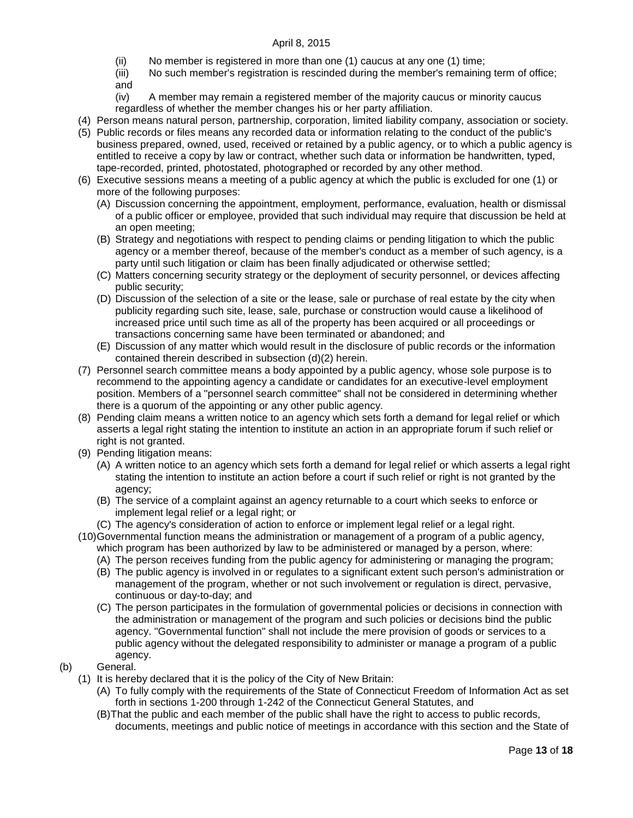- (ii) No member is registered in more than one (1) caucus at any one (1) time;
- (iii) No such member's registration is rescinded during the member's remaining term of office; and
- (iv) A member may remain a registered member of the majority caucus or minority caucus regardless of whether the member changes his or her party affiliation.
- (4) Person means natural person, partnership, corporation, limited liability company, association or society.
- (5) Public records or files means any recorded data or information relating to the conduct of the public's business prepared, owned, used, received or retained by a public agency, or to which a public agency is entitled to receive a copy by law or contract, whether such data or information be handwritten, typed, tape-recorded, printed, photostated, photographed or recorded by any other method.
- (6) Executive sessions means a meeting of a public agency at which the public is excluded for one (1) or more of the following purposes:
	- (A) Discussion concerning the appointment, employment, performance, evaluation, health or dismissal of a public officer or employee, provided that such individual may require that discussion be held at an open meeting;
	- (B) Strategy and negotiations with respect to pending claims or pending litigation to which the public agency or a member thereof, because of the member's conduct as a member of such agency, is a party until such litigation or claim has been finally adjudicated or otherwise settled;
	- (C) Matters concerning security strategy or the deployment of security personnel, or devices affecting public security;
	- (D) Discussion of the selection of a site or the lease, sale or purchase of real estate by the city when publicity regarding such site, lease, sale, purchase or construction would cause a likelihood of increased price until such time as all of the property has been acquired or all proceedings or transactions concerning same have been terminated or abandoned; and
	- (E) Discussion of any matter which would result in the disclosure of public records or the information contained therein described in subsection (d)(2) herein.
- (7) Personnel search committee means a body appointed by a public agency, whose sole purpose is to recommend to the appointing agency a candidate or candidates for an executive-level employment position. Members of a "personnel search committee" shall not be considered in determining whether there is a quorum of the appointing or any other public agency.
- (8) Pending claim means a written notice to an agency which sets forth a demand for legal relief or which asserts a legal right stating the intention to institute an action in an appropriate forum if such relief or right is not granted.
- (9) Pending litigation means:
	- (A) A written notice to an agency which sets forth a demand for legal relief or which asserts a legal right stating the intention to institute an action before a court if such relief or right is not granted by the agency;
	- (B) The service of a complaint against an agency returnable to a court which seeks to enforce or implement legal relief or a legal right; or
	- (C) The agency's consideration of action to enforce or implement legal relief or a legal right.
- (10)Governmental function means the administration or management of a program of a public agency, which program has been authorized by law to be administered or managed by a person, where:
	- (A) The person receives funding from the public agency for administering or managing the program;
	- (B) The public agency is involved in or regulates to a significant extent such person's administration or management of the program, whether or not such involvement or regulation is direct, pervasive, continuous or day-to-day; and
	- (C) The person participates in the formulation of governmental policies or decisions in connection with the administration or management of the program and such policies or decisions bind the public agency. "Governmental function" shall not include the mere provision of goods or services to a public agency without the delegated responsibility to administer or manage a program of a public agency.
- (b) General.
	- (1) It is hereby declared that it is the policy of the City of New Britain:
		- (A) To fully comply with the requirements of the State of Connecticut Freedom of Information Act as set forth in sections 1-200 through 1-242 of the Connecticut General Statutes, and
		- (B)That the public and each member of the public shall have the right to access to public records, documents, meetings and public notice of meetings in accordance with this section and the State of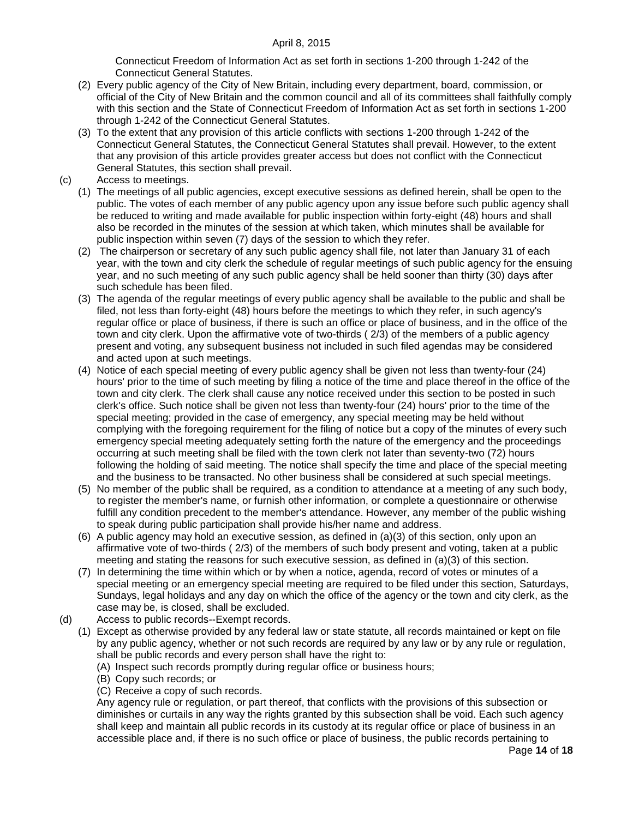Connecticut Freedom of Information Act as set forth in sections 1-200 through 1-242 of the Connecticut General Statutes.

- (2) Every public agency of the City of New Britain, including every department, board, commission, or official of the City of New Britain and the common council and all of its committees shall faithfully comply with this section and the State of Connecticut Freedom of Information Act as set forth in sections 1-200 through 1-242 of the Connecticut General Statutes.
- (3) To the extent that any provision of this article conflicts with sections 1-200 through 1-242 of the Connecticut General Statutes, the Connecticut General Statutes shall prevail. However, to the extent that any provision of this article provides greater access but does not conflict with the Connecticut General Statutes, this section shall prevail.
- (c) Access to meetings.
	- (1) The meetings of all public agencies, except executive sessions as defined herein, shall be open to the public. The votes of each member of any public agency upon any issue before such public agency shall be reduced to writing and made available for public inspection within forty-eight (48) hours and shall also be recorded in the minutes of the session at which taken, which minutes shall be available for public inspection within seven (7) days of the session to which they refer.
	- (2) The chairperson or secretary of any such public agency shall file, not later than January 31 of each year, with the town and city clerk the schedule of regular meetings of such public agency for the ensuing year, and no such meeting of any such public agency shall be held sooner than thirty (30) days after such schedule has been filed.
	- (3) The agenda of the regular meetings of every public agency shall be available to the public and shall be filed, not less than forty-eight (48) hours before the meetings to which they refer, in such agency's regular office or place of business, if there is such an office or place of business, and in the office of the town and city clerk. Upon the affirmative vote of two-thirds ( 2/3) of the members of a public agency present and voting, any subsequent business not included in such filed agendas may be considered and acted upon at such meetings.
	- (4) Notice of each special meeting of every public agency shall be given not less than twenty-four (24) hours' prior to the time of such meeting by filing a notice of the time and place thereof in the office of the town and city clerk. The clerk shall cause any notice received under this section to be posted in such clerk's office. Such notice shall be given not less than twenty-four (24) hours' prior to the time of the special meeting; provided in the case of emergency, any special meeting may be held without complying with the foregoing requirement for the filing of notice but a copy of the minutes of every such emergency special meeting adequately setting forth the nature of the emergency and the proceedings occurring at such meeting shall be filed with the town clerk not later than seventy-two (72) hours following the holding of said meeting. The notice shall specify the time and place of the special meeting and the business to be transacted. No other business shall be considered at such special meetings.
	- (5) No member of the public shall be required, as a condition to attendance at a meeting of any such body, to register the member's name, or furnish other information, or complete a questionnaire or otherwise fulfill any condition precedent to the member's attendance. However, any member of the public wishing to speak during public participation shall provide his/her name and address.
	- (6) A public agency may hold an executive session, as defined in (a)(3) of this section, only upon an affirmative vote of two-thirds ( 2/3) of the members of such body present and voting, taken at a public meeting and stating the reasons for such executive session, as defined in (a)(3) of this section.
	- (7) In determining the time within which or by when a notice, agenda, record of votes or minutes of a special meeting or an emergency special meeting are required to be filed under this section, Saturdays, Sundays, legal holidays and any day on which the office of the agency or the town and city clerk, as the case may be, is closed, shall be excluded.
- (d) Access to public records--Exempt records.
	- (1) Except as otherwise provided by any federal law or state statute, all records maintained or kept on file by any public agency, whether or not such records are required by any law or by any rule or regulation, shall be public records and every person shall have the right to:
		- (A) Inspect such records promptly during regular office or business hours;
		- (B) Copy such records; or
		- (C) Receive a copy of such records.

Any agency rule or regulation, or part thereof, that conflicts with the provisions of this subsection or diminishes or curtails in any way the rights granted by this subsection shall be void. Each such agency shall keep and maintain all public records in its custody at its regular office or place of business in an accessible place and, if there is no such office or place of business, the public records pertaining to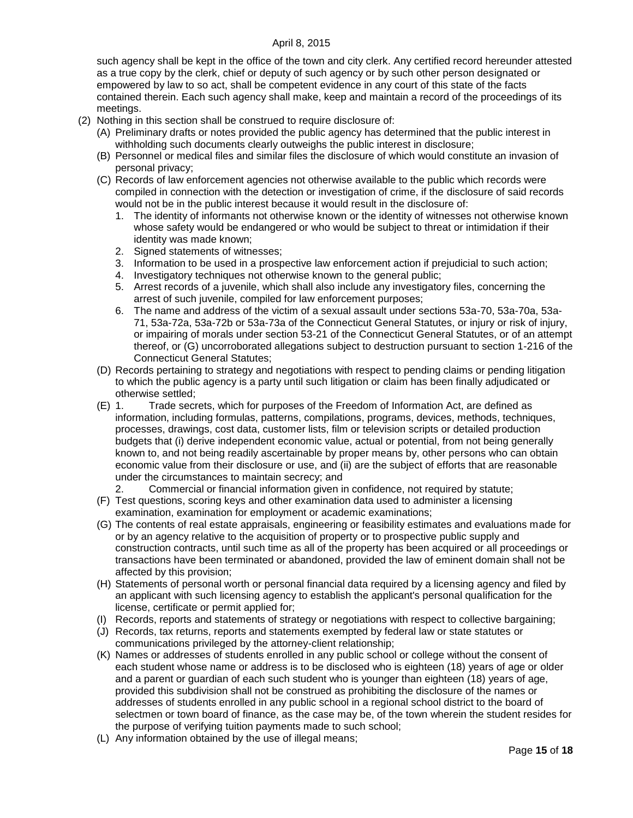such agency shall be kept in the office of the town and city clerk. Any certified record hereunder attested as a true copy by the clerk, chief or deputy of such agency or by such other person designated or empowered by law to so act, shall be competent evidence in any court of this state of the facts contained therein. Each such agency shall make, keep and maintain a record of the proceedings of its meetings.

- (2) Nothing in this section shall be construed to require disclosure of:
	- (A) Preliminary drafts or notes provided the public agency has determined that the public interest in withholding such documents clearly outweighs the public interest in disclosure;
	- (B) Personnel or medical files and similar files the disclosure of which would constitute an invasion of personal privacy;
	- (C) Records of law enforcement agencies not otherwise available to the public which records were compiled in connection with the detection or investigation of crime, if the disclosure of said records would not be in the public interest because it would result in the disclosure of:
		- 1. The identity of informants not otherwise known or the identity of witnesses not otherwise known whose safety would be endangered or who would be subject to threat or intimidation if their identity was made known;
		- 2. Signed statements of witnesses;
		- 3. Information to be used in a prospective law enforcement action if prejudicial to such action;
		- 4. Investigatory techniques not otherwise known to the general public;
		- 5. Arrest records of a juvenile, which shall also include any investigatory files, concerning the arrest of such juvenile, compiled for law enforcement purposes;
		- 6. The name and address of the victim of a sexual assault under sections 53a-70, 53a-70a, 53a-71, 53a-72a, 53a-72b or 53a-73a of the Connecticut General Statutes, or injury or risk of injury, or impairing of morals under section 53-21 of the Connecticut General Statutes, or of an attempt thereof, or (G) uncorroborated allegations subject to destruction pursuant to section 1-216 of the Connecticut General Statutes;
	- (D) Records pertaining to strategy and negotiations with respect to pending claims or pending litigation to which the public agency is a party until such litigation or claim has been finally adjudicated or otherwise settled;
	- (E) 1. Trade secrets, which for purposes of the Freedom of Information Act, are defined as information, including formulas, patterns, compilations, programs, devices, methods, techniques, processes, drawings, cost data, customer lists, film or television scripts or detailed production budgets that (i) derive independent economic value, actual or potential, from not being generally known to, and not being readily ascertainable by proper means by, other persons who can obtain economic value from their disclosure or use, and (ii) are the subject of efforts that are reasonable under the circumstances to maintain secrecy; and
		- 2. Commercial or financial information given in confidence, not required by statute;
	- (F) Test questions, scoring keys and other examination data used to administer a licensing examination, examination for employment or academic examinations;
	- (G) The contents of real estate appraisals, engineering or feasibility estimates and evaluations made for or by an agency relative to the acquisition of property or to prospective public supply and construction contracts, until such time as all of the property has been acquired or all proceedings or transactions have been terminated or abandoned, provided the law of eminent domain shall not be affected by this provision;
	- (H) Statements of personal worth or personal financial data required by a licensing agency and filed by an applicant with such licensing agency to establish the applicant's personal qualification for the license, certificate or permit applied for;
	- (I) Records, reports and statements of strategy or negotiations with respect to collective bargaining;
	- (J) Records, tax returns, reports and statements exempted by federal law or state statutes or communications privileged by the attorney-client relationship;
	- (K) Names or addresses of students enrolled in any public school or college without the consent of each student whose name or address is to be disclosed who is eighteen (18) years of age or older and a parent or guardian of each such student who is younger than eighteen (18) years of age, provided this subdivision shall not be construed as prohibiting the disclosure of the names or addresses of students enrolled in any public school in a regional school district to the board of selectmen or town board of finance, as the case may be, of the town wherein the student resides for the purpose of verifying tuition payments made to such school;
	- (L) Any information obtained by the use of illegal means;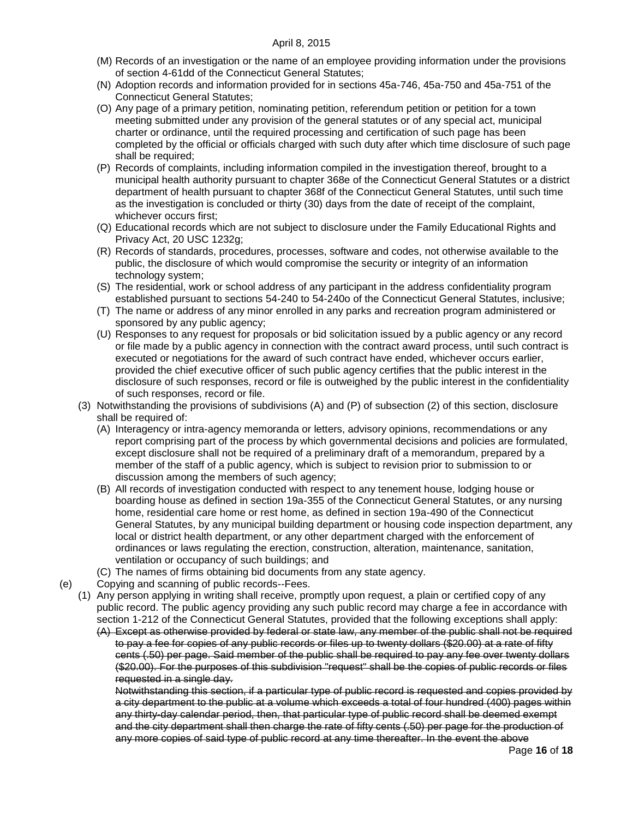- (M) Records of an investigation or the name of an employee providing information under the provisions of section 4-61dd of the Connecticut General Statutes;
- (N) Adoption records and information provided for in sections 45a-746, 45a-750 and 45a-751 of the Connecticut General Statutes;
- (O) Any page of a primary petition, nominating petition, referendum petition or petition for a town meeting submitted under any provision of the general statutes or of any special act, municipal charter or ordinance, until the required processing and certification of such page has been completed by the official or officials charged with such duty after which time disclosure of such page shall be required;
- (P) Records of complaints, including information compiled in the investigation thereof, brought to a municipal health authority pursuant to chapter 368e of the Connecticut General Statutes or a district department of health pursuant to chapter 368f of the Connecticut General Statutes, until such time as the investigation is concluded or thirty (30) days from the date of receipt of the complaint, whichever occurs first;
- (Q) Educational records which are not subject to disclosure under the Family Educational Rights and Privacy Act, 20 USC 1232g;
- (R) Records of standards, procedures, processes, software and codes, not otherwise available to the public, the disclosure of which would compromise the security or integrity of an information technology system;
- (S) The residential, work or school address of any participant in the address confidentiality program established pursuant to sections 54-240 to 54-240o of the Connecticut General Statutes, inclusive;
- (T) The name or address of any minor enrolled in any parks and recreation program administered or sponsored by any public agency;
- (U) Responses to any request for proposals or bid solicitation issued by a public agency or any record or file made by a public agency in connection with the contract award process, until such contract is executed or negotiations for the award of such contract have ended, whichever occurs earlier, provided the chief executive officer of such public agency certifies that the public interest in the disclosure of such responses, record or file is outweighed by the public interest in the confidentiality of such responses, record or file.
- (3) Notwithstanding the provisions of subdivisions (A) and (P) of subsection (2) of this section, disclosure shall be required of:
	- (A) Interagency or intra-agency memoranda or letters, advisory opinions, recommendations or any report comprising part of the process by which governmental decisions and policies are formulated, except disclosure shall not be required of a preliminary draft of a memorandum, prepared by a member of the staff of a public agency, which is subject to revision prior to submission to or discussion among the members of such agency;
	- (B) All records of investigation conducted with respect to any tenement house, lodging house or boarding house as defined in section 19a-355 of the Connecticut General Statutes, or any nursing home, residential care home or rest home, as defined in section 19a-490 of the Connecticut General Statutes, by any municipal building department or housing code inspection department, any local or district health department, or any other department charged with the enforcement of ordinances or laws regulating the erection, construction, alteration, maintenance, sanitation, ventilation or occupancy of such buildings; and
	- (C) The names of firms obtaining bid documents from any state agency.
- (e) Copying and scanning of public records--Fees.
	- (1) Any person applying in writing shall receive, promptly upon request, a plain or certified copy of any public record. The public agency providing any such public record may charge a fee in accordance with section 1-212 of the Connecticut General Statutes, provided that the following exceptions shall apply:

(A) Except as otherwise provided by federal or state law, any member of the public shall not be required to pay a fee for copies of any public records or files up to twenty dollars (\$20.00) at a rate of fifty cents (.50) per page. Said member of the public shall be required to pay any fee over twenty dollars (\$20.00). For the purposes of this subdivision "request" shall be the copies of public records or files requested in a single day.

Notwithstanding this section, if a particular type of public record is requested and copies provided by a city department to the public at a volume which exceeds a total of four hundred (400) pages within any thirty-day calendar period, then, that particular type of public record shall be deemed exempt and the city department shall then charge the rate of fifty cents (.50) per page for the production of any more copies of said type of public record at any time thereafter. In the event the above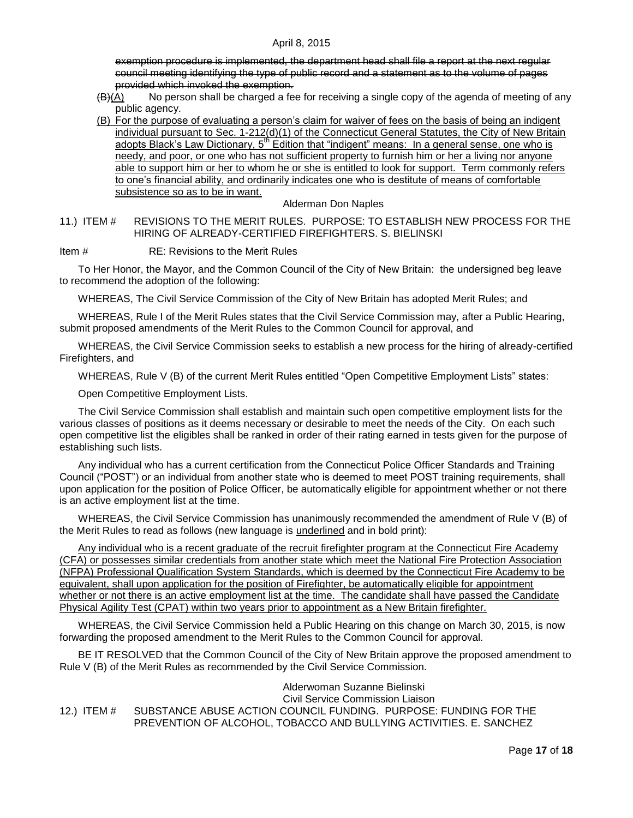exemption procedure is implemented, the department head shall file a report at the next regular council meeting identifying the type of public record and a statement as to the volume of pages provided which invoked the exemption.

- $\frac{(\mathsf{B})(\mathsf{A})}{(\mathsf{A})}$  No person shall be charged a fee for receiving a single copy of the agenda of meeting of any public agency.
- (B) For the purpose of evaluating a person's claim for waiver of fees on the basis of being an indigent individual pursuant to Sec. 1-212(d)(1) of the Connecticut General Statutes, the City of New Britain adopts Black's Law Dictionary,  $5<sup>th</sup>$  Edition that "indigent" means: In a general sense, one who is needy, and poor, or one who has not sufficient property to furnish him or her a living nor anyone able to support him or her to whom he or she is entitled to look for support. Term commonly refers to one's financial ability, and ordinarily indicates one who is destitute of means of comfortable subsistence so as to be in want.

### Alderman Don Naples

<span id="page-16-0"></span>11.) ITEM # REVISIONS TO THE MERIT RULES. PURPOSE: TO ESTABLISH NEW PROCESS FOR THE HIRING OF ALREADY-CERTIFIED FIREFIGHTERS. S. BIELINSKI

Item # RE: Revisions to the Merit Rules

To Her Honor, the Mayor, and the Common Council of the City of New Britain: the undersigned beg leave to recommend the adoption of the following:

WHEREAS, The Civil Service Commission of the City of New Britain has adopted Merit Rules; and

WHEREAS, Rule I of the Merit Rules states that the Civil Service Commission may, after a Public Hearing, submit proposed amendments of the Merit Rules to the Common Council for approval, and

WHEREAS, the Civil Service Commission seeks to establish a new process for the hiring of already-certified Firefighters, and

WHEREAS, Rule V (B) of the current Merit Rules entitled "Open Competitive Employment Lists" states:

Open Competitive Employment Lists.

The Civil Service Commission shall establish and maintain such open competitive employment lists for the various classes of positions as it deems necessary or desirable to meet the needs of the City. On each such open competitive list the eligibles shall be ranked in order of their rating earned in tests given for the purpose of establishing such lists.

Any individual who has a current certification from the Connecticut Police Officer Standards and Training Council ("POST") or an individual from another state who is deemed to meet POST training requirements, shall upon application for the position of Police Officer, be automatically eligible for appointment whether or not there is an active employment list at the time.

WHEREAS, the Civil Service Commission has unanimously recommended the amendment of Rule V (B) of the Merit Rules to read as follows (new language is underlined and in bold print):

Any individual who is a recent graduate of the recruit firefighter program at the Connecticut Fire Academy (CFA) or possesses similar credentials from another state which meet the National Fire Protection Association (NFPA) Professional Qualification System Standards, which is deemed by the Connecticut Fire Academy to be equivalent, shall upon application for the position of Firefighter, be automatically eligible for appointment whether or not there is an active employment list at the time. The candidate shall have passed the Candidate Physical Agility Test (CPAT) within two years prior to appointment as a New Britain firefighter.

WHEREAS, the Civil Service Commission held a Public Hearing on this change on March 30, 2015, is now forwarding the proposed amendment to the Merit Rules to the Common Council for approval.

BE IT RESOLVED that the Common Council of the City of New Britain approve the proposed amendment to Rule V (B) of the Merit Rules as recommended by the Civil Service Commission.

<span id="page-16-1"></span>Alderwoman Suzanne Bielinski Civil Service Commission Liaison 12.) ITEM # SUBSTANCE ABUSE ACTION COUNCIL FUNDING. PURPOSE: FUNDING FOR THE PREVENTION OF ALCOHOL, TOBACCO AND BULLYING ACTIVITIES. E. SANCHEZ